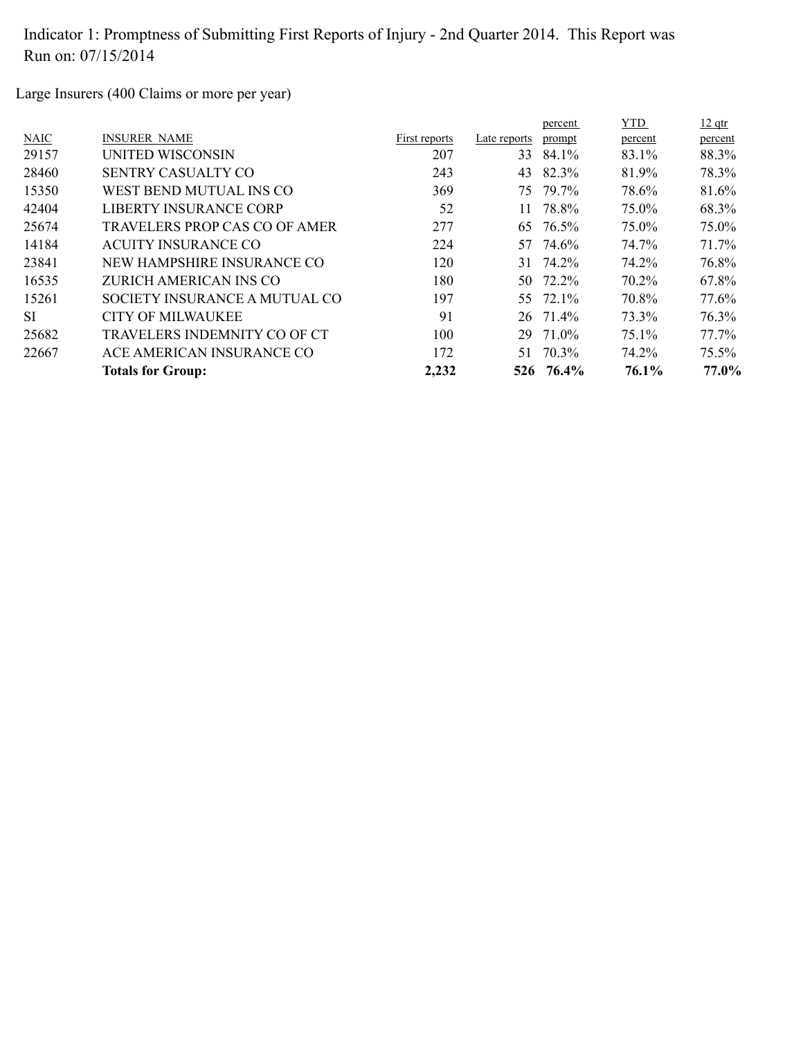Large Insurers (400 Claims or more per year)

|             |                               |               |              | percent   | <b>YTD</b> | $12$ qtr |
|-------------|-------------------------------|---------------|--------------|-----------|------------|----------|
| <b>NAIC</b> | <b>INSURER NAME</b>           | First reports | Late reports | prompt    | percent    | percent  |
| 29157       | UNITED WISCONSIN              | 207           | 33           | 84.1%     | 83.1%      | 88.3%    |
| 28460       | <b>SENTRY CASUALTY CO</b>     | 243           | 43           | 82.3%     | 81.9%      | 78.3%    |
| 15350       | WEST BEND MUTUAL INS CO       | 369           | 75           | 79.7%     | 78.6%      | 81.6%    |
| 42404       | LIBERTY INSURANCE CORP        | 52            | 11.          | 78.8%     | 75.0%      | 68.3%    |
| 25674       | TRAVELERS PROP CAS CO OF AMER | 277           | 65           | 76.5%     | 75.0%      | 75.0%    |
| 14184       | ACUITY INSURANCE CO           | 224           |              | 57 74.6%  | 74.7%      | 71.7%    |
| 23841       | NEW HAMPSHIRE INSURANCE CO    | 120           | 31           | 74.2%     | 74.2%      | 76.8%    |
| 16535       | ZURICH AMERICAN INS CO        | 180           |              | 50 72.2%  | 70.2%      | 67.8%    |
| 15261       | SOCIETY INSURANCE A MUTUAL CO | 197           |              | 55 72.1%  | 70.8%      | 77.6%    |
| <b>SI</b>   | CITY OF MILWAUKEE             | 91            |              | 26 71.4%  | 73.3%      | 76.3%    |
| 25682       | TRAVELERS INDEMNITY CO OF CT  | 100           | 29           | 71.0%     | 75.1%      | 77.7%    |
| 22667       | ACE AMERICAN INSURANCE CO     | 172           | 51           | 70.3%     | 74.2%      | 75.5%    |
|             | <b>Totals for Group:</b>      | 2,232         |              | 526 76.4% | 76.1%      | 77.0%    |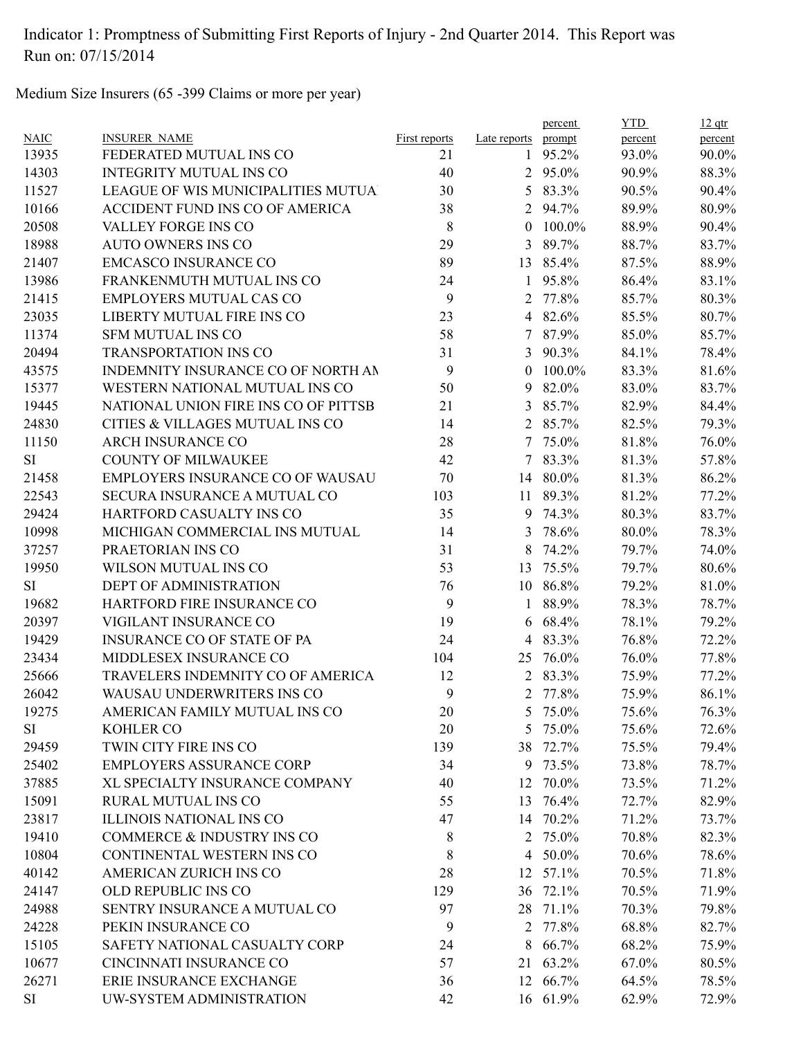Medium Size Insurers (65 -399 Claims or more per year)

|             |                                         |               |                | percent  | <b>YTD</b> | $12$ qtr |
|-------------|-----------------------------------------|---------------|----------------|----------|------------|----------|
| <b>NAIC</b> | <b>INSURER NAME</b>                     | First reports | Late reports   | prompt   | percent    | percent  |
| 13935       | FEDERATED MUTUAL INS CO                 | 21            | $\mathbf{1}$   | 95.2%    | 93.0%      | 90.0%    |
| 14303       | <b>INTEGRITY MUTUAL INS CO</b>          | 40            |                | 2 95.0%  | 90.9%      | 88.3%    |
| 11527       | LEAGUE OF WIS MUNICIPALITIES MUTUA      | 30            |                | 5 83.3%  | 90.5%      | 90.4%    |
| 10166       | ACCIDENT FUND INS CO OF AMERICA         | 38            | 2              | 94.7%    | 89.9%      | 80.9%    |
| 20508       | VALLEY FORGE INS CO                     | 8             | $\theta$       | 100.0%   | 88.9%      | 90.4%    |
| 18988       | <b>AUTO OWNERS INS CO</b>               | 29            | 3              | 89.7%    | 88.7%      | 83.7%    |
| 21407       | <b>EMCASCO INSURANCE CO</b>             | 89            |                | 13 85.4% | 87.5%      | 88.9%    |
| 13986       | FRANKENMUTH MUTUAL INS CO               | 24            | $\mathbf{1}$   | 95.8%    | 86.4%      | 83.1%    |
| 21415       | <b>EMPLOYERS MUTUAL CAS CO</b>          | 9             | 2              | 77.8%    | 85.7%      | 80.3%    |
| 23035       | LIBERTY MUTUAL FIRE INS CO              | 23            | $\overline{4}$ | 82.6%    | 85.5%      | 80.7%    |
| 11374       | <b>SFM MUTUAL INS CO</b>                | 58            | $\tau$         | 87.9%    | 85.0%      | 85.7%    |
| 20494       | <b>TRANSPORTATION INS CO</b>            | 31            | 3              | 90.3%    | 84.1%      | 78.4%    |
| 43575       | INDEMNITY INSURANCE CO OF NORTH AN      | 9             | $\theta$       | 100.0%   | 83.3%      | 81.6%    |
| 15377       | WESTERN NATIONAL MUTUAL INS CO          | 50            | 9              | 82.0%    | 83.0%      | 83.7%    |
| 19445       | NATIONAL UNION FIRE INS CO OF PITTSB    | 21            | 3              | 85.7%    | 82.9%      | 84.4%    |
| 24830       | CITIES & VILLAGES MUTUAL INS CO         | 14            | $\overline{2}$ | 85.7%    | 82.5%      | 79.3%    |
| 11150       | <b>ARCH INSURANCE CO</b>                | 28            |                | 7 75.0%  | 81.8%      | 76.0%    |
| <b>SI</b>   | <b>COUNTY OF MILWAUKEE</b>              | 42            | $\tau$         | 83.3%    | 81.3%      | 57.8%    |
| 21458       | <b>EMPLOYERS INSURANCE CO OF WAUSAU</b> | 70            | 14             | 80.0%    | 81.3%      | 86.2%    |
| 22543       | SECURA INSURANCE A MUTUAL CO            | 103           |                | 11 89.3% | 81.2%      | 77.2%    |
| 29424       | HARTFORD CASUALTY INS CO                | 35            | 9              | 74.3%    | 80.3%      | 83.7%    |
| 10998       | MICHIGAN COMMERCIAL INS MUTUAL          | 14            | 3              | 78.6%    | 80.0%      | 78.3%    |
| 37257       | PRAETORIAN INS CO                       | 31            | 8              | 74.2%    | 79.7%      | 74.0%    |
| 19950       | WILSON MUTUAL INS CO                    | 53            | 13             | 75.5%    | 79.7%      | 80.6%    |
| <b>SI</b>   | DEPT OF ADMINISTRATION                  | 76            |                | 10 86.8% | 79.2%      | 81.0%    |
| 19682       | HARTFORD FIRE INSURANCE CO              | 9             | $\mathbf{1}$   | 88.9%    | 78.3%      | 78.7%    |
| 20397       | VIGILANT INSURANCE CO                   | 19            | 6              | 68.4%    | 78.1%      | 79.2%    |
| 19429       | <b>INSURANCE CO OF STATE OF PA</b>      | 24            | 4              | 83.3%    | 76.8%      | 72.2%    |
| 23434       | MIDDLESEX INSURANCE CO                  | 104           | 25             | 76.0%    | 76.0%      | 77.8%    |
| 25666       | TRAVELERS INDEMNITY CO OF AMERICA       | 12            |                | 2 83.3%  | 75.9%      | 77.2%    |
| 26042       | WAUSAU UNDERWRITERS INS CO              | 9             | 2              | 77.8%    | 75.9%      | 86.1%    |
| 19275       | AMERICAN FAMILY MUTUAL INS CO           | 20            | 5.             | 75.0%    | 75.6%      | 76.3%    |
| SI          | <b>KOHLER CO</b>                        | 20            | 5              | 75.0%    | 75.6%      | 72.6%    |
| 29459       | TWIN CITY FIRE INS CO                   | 139           |                | 38 72.7% | 75.5%      | 79.4%    |
| 25402       | <b>EMPLOYERS ASSURANCE CORP</b>         | 34            | 9              | 73.5%    | 73.8%      | 78.7%    |
| 37885       | XL SPECIALTY INSURANCE COMPANY          | 40            | 12             | 70.0%    | 73.5%      | 71.2%    |
| 15091       | RURAL MUTUAL INS CO                     | 55            | 13             | 76.4%    | 72.7%      | 82.9%    |
| 23817       | <b>ILLINOIS NATIONAL INS CO</b>         | 47            |                | 14 70.2% | 71.2%      | 73.7%    |
| 19410       | COMMERCE & INDUSTRY INS CO              | 8             | 2              | 75.0%    | 70.8%      | 82.3%    |
| 10804       | CONTINENTAL WESTERN INS CO              | 8             | $\overline{4}$ | 50.0%    | 70.6%      | 78.6%    |
| 40142       | AMERICAN ZURICH INS CO                  | 28            |                | 12 57.1% | 70.5%      | 71.8%    |
| 24147       | OLD REPUBLIC INS CO                     | 129           | 36             | 72.1%    | 70.5%      | 71.9%    |
| 24988       | SENTRY INSURANCE A MUTUAL CO            | 97            | 28             | 71.1%    | 70.3%      | 79.8%    |
| 24228       | PEKIN INSURANCE CO                      | 9             | 2              | 77.8%    | 68.8%      | 82.7%    |
| 15105       | SAFETY NATIONAL CASUALTY CORP           | 24            | 8              | 66.7%    | 68.2%      | 75.9%    |
| 10677       | CINCINNATI INSURANCE CO                 | 57            |                | 21 63.2% | 67.0%      | 80.5%    |
| 26271       | ERIE INSURANCE EXCHANGE                 | 36            |                | 12 66.7% | 64.5%      | 78.5%    |
| <b>SI</b>   | UW-SYSTEM ADMINISTRATION                | 42            |                | 16 61.9% | 62.9%      | 72.9%    |
|             |                                         |               |                |          |            |          |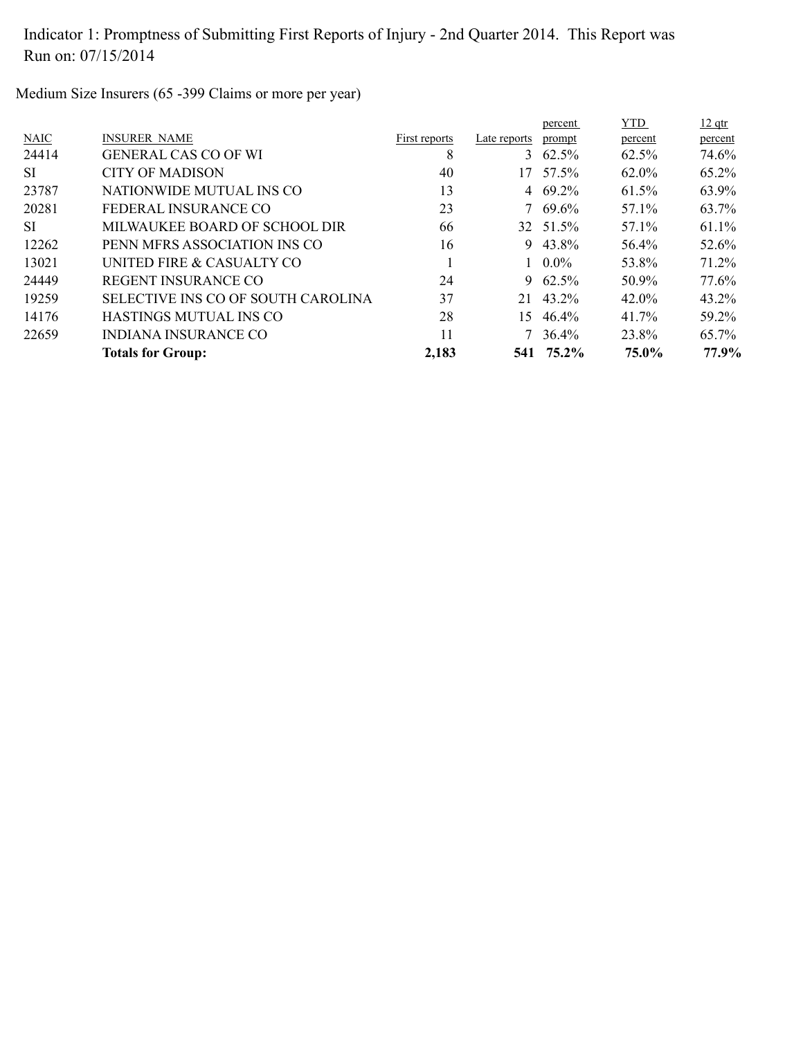Medium Size Insurers (65 -399 Claims or more per year)

|             |                                    |               |              | percent         | <b>YTD</b> | $12$ qtr |
|-------------|------------------------------------|---------------|--------------|-----------------|------------|----------|
| <b>NAIC</b> | <b>INSURER NAME</b>                | First reports | Late reports | prompt          | percent    | percent  |
| 24414       | <b>GENERAL CAS CO OF WI</b>        | 8             |              | 3 $62.5\%$      | 62.5%      | 74.6%    |
| -SI         | CITY OF MADISON                    | 40            | 17           | 57.5%           | 62.0%      | 65.2%    |
| 23787       | NATIONWIDE MUTUAL INS CO           | 13            |              | 4 $69.2\%$      | 61.5%      | 63.9%    |
| 20281       | FEDERAL INSURANCE CO               | 23            |              | $7\quad69.6\%$  | 57.1%      | 63.7%    |
| SI.         | MILWAUKEE BOARD OF SCHOOL DIR      | 66            |              | 32 51.5%        | 57.1%      | 61.1%    |
| 12262       | PENN MFRS ASSOCIATION INS CO       | 16            | 9.           | 43.8%           | 56.4%      | 52.6%    |
| 13021       | UNITED FIRE & CASUALTY CO          |               |              | $1 \quad 0.0\%$ | 53.8%      | 71.2%    |
| 24449       | <b>REGENT INSURANCE CO</b>         | 24            |              | 9 $62.5\%$      | 50.9%      | 77.6%    |
| 19259       | SELECTIVE INS CO OF SOUTH CAROLINA | 37            | 21           | 43.2%           | 42.0%      | 43.2%    |
| 14176       | HASTINGS MUTUAL INS CO             | 28            | 15           | 46.4%           | 41.7%      | 59.2%    |
| 22659       | INDIANA INSURANCE CO               | 11            |              | $7\quad 36.4\%$ | 23.8%      | 65.7%    |
|             | <b>Totals for Group:</b>           | 2,183         |              | 541 75.2%       | 75.0%      | 77.9%    |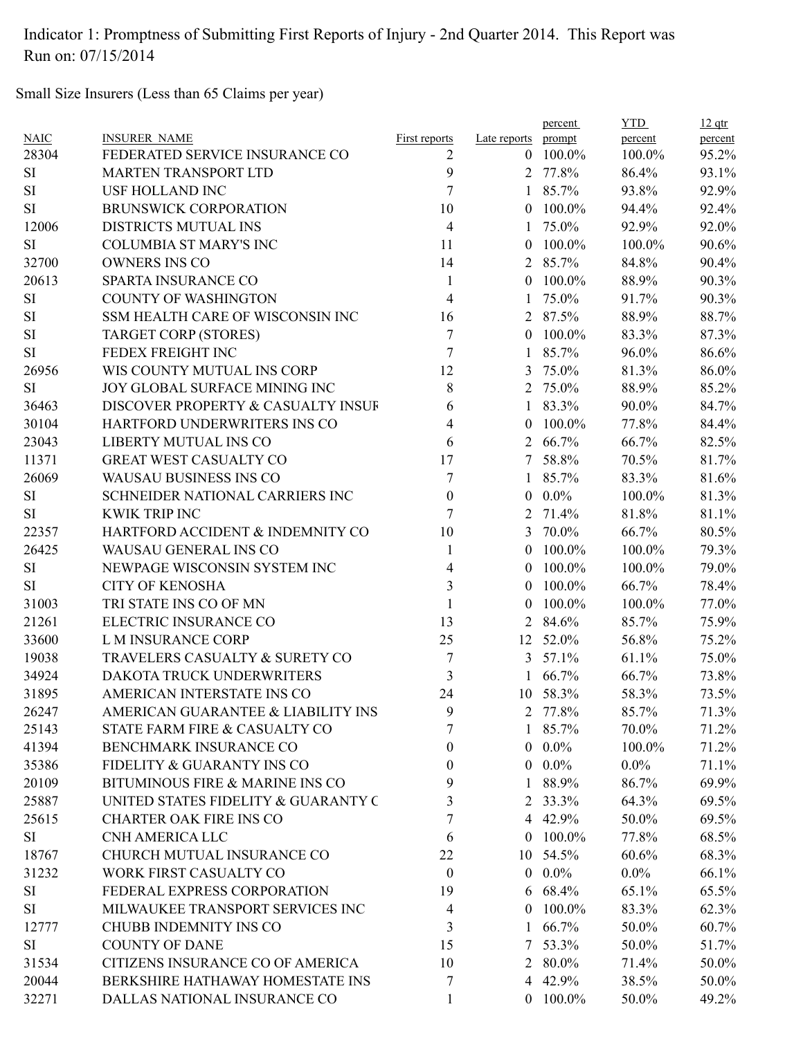Small Size Insurers (Less than 65 Claims per year)

|             |                                      |                      |                    | percent        | <b>YTD</b> | $12$ qtr |
|-------------|--------------------------------------|----------------------|--------------------|----------------|------------|----------|
| <b>NAIC</b> | <b>INSURER NAME</b>                  | <b>First reports</b> | Late reports       | prompt         | percent    | percent  |
| 28304       | FEDERATED SERVICE INSURANCE CO       | 2                    | $\theta$           | 100.0%         | 100.0%     | 95.2%    |
| <b>SI</b>   | <b>MARTEN TRANSPORT LTD</b>          | 9                    |                    | 2 77.8%        | 86.4%      | 93.1%    |
| $\rm SI$    | <b>USF HOLLAND INC</b>               | 7                    |                    | 1 85.7%        | 93.8%      | 92.9%    |
| SI          | <b>BRUNSWICK CORPORATION</b>         | 10                   | $\overline{0}$     | 100.0%         | 94.4%      | 92.4%    |
| 12006       | DISTRICTS MUTUAL INS                 | 4                    | 1                  | 75.0%          | 92.9%      | 92.0%    |
| <b>SI</b>   | <b>COLUMBIA ST MARY'S INC</b>        | 11                   | $\theta$           | 100.0%         | 100.0%     | 90.6%    |
| 32700       | <b>OWNERS INS CO</b>                 | 14                   |                    | 2 85.7%        | 84.8%      | 90.4%    |
| 20613       | <b>SPARTA INSURANCE CO</b>           | 1                    | $\theta$           | 100.0%         | 88.9%      | 90.3%    |
| <b>SI</b>   | <b>COUNTY OF WASHINGTON</b>          | 4                    | $\mathbf{1}$       | 75.0%          | 91.7%      | 90.3%    |
| $\rm SI$    | SSM HEALTH CARE OF WISCONSIN INC     | 16                   |                    | 2 87.5%        | 88.9%      | 88.7%    |
| $\rm SI$    | <b>TARGET CORP (STORES)</b>          | 7                    | $\theta$           | 100.0%         | 83.3%      | 87.3%    |
| <b>SI</b>   | FEDEX FREIGHT INC                    | 7                    | $\mathbf{1}$       | 85.7%          | 96.0%      | 86.6%    |
| 26956       | WIS COUNTY MUTUAL INS CORP           | 12                   | 3                  | 75.0%          | 81.3%      | 86.0%    |
| <b>SI</b>   | <b>JOY GLOBAL SURFACE MINING INC</b> | $8\,$                | $\overline{2}$     | 75.0%          | 88.9%      | 85.2%    |
| 36463       | DISCOVER PROPERTY & CASUALTY INSUF   | 6                    | 1                  | 83.3%          | 90.0%      | 84.7%    |
| 30104       | HARTFORD UNDERWRITERS INS CO         | 4                    | $\left( 0 \right)$ | 100.0%         | 77.8%      | 84.4%    |
| 23043       | LIBERTY MUTUAL INS CO                | 6                    | $\overline{2}$     | 66.7%          | 66.7%      | 82.5%    |
| 11371       | <b>GREAT WEST CASUALTY CO</b>        | 17                   | 7                  | 58.8%          | 70.5%      | 81.7%    |
| 26069       | WAUSAU BUSINESS INS CO               | 7                    | 1                  | 85.7%          | 83.3%      | 81.6%    |
| <b>SI</b>   | SCHNEIDER NATIONAL CARRIERS INC      | $\boldsymbol{0}$     | $\theta$           | $0.0\%$        | 100.0%     | 81.3%    |
| <b>SI</b>   | <b>KWIK TRIP INC</b>                 | 7                    | 2                  | 71.4%          | 81.8%      | 81.1%    |
| 22357       | HARTFORD ACCIDENT & INDEMNITY CO     | 10                   | 3                  | 70.0%          | 66.7%      | 80.5%    |
| 26425       | WAUSAU GENERAL INS CO                | 1                    | $\theta$           | 100.0%         | 100.0%     | 79.3%    |
| <b>SI</b>   | NEWPAGE WISCONSIN SYSTEM INC         | 4                    | $\overline{0}$     | 100.0%         | 100.0%     | 79.0%    |
| <b>SI</b>   | <b>CITY OF KENOSHA</b>               | $\overline{3}$       | $\mathbf{0}$       | 100.0%         | 66.7%      | 78.4%    |
| 31003       | TRI STATE INS CO OF MN               | $\mathbf{1}$         | $\theta$           | 100.0%         | 100.0%     | 77.0%    |
| 21261       | ELECTRIC INSURANCE CO                | 13                   | 2                  | 84.6%          | 85.7%      | 75.9%    |
| 33600       | L M INSURANCE CORP                   | 25                   | 12                 | 52.0%          | 56.8%      | 75.2%    |
| 19038       | TRAVELERS CASUALTY & SURETY CO       | 7                    | 3                  | 57.1%          | 61.1%      | 75.0%    |
| 34924       | DAKOTA TRUCK UNDERWRITERS            | 3                    |                    | 66.7%          | 66.7%      | 73.8%    |
| 31895       | AMERICAN INTERSTATE INS CO           | 24                   |                    | 10 58.3%       | 58.3%      | 73.5%    |
| 26247       | AMERICAN GUARANTEE & LIABILITY INS   | 9                    |                    | 2 77.8%        | 85.7%      | 71.3%    |
| 25143       | STATE FARM FIRE & CASUALTY CO        | 7                    |                    | 1 85.7%        | 70.0%      | 71.2%    |
| 41394       | BENCHMARK INSURANCE CO               | 0                    |                    | $0.0\%$        | 100.0%     | 71.2%    |
|             | FIDELITY & GUARANTY INS CO           |                      |                    | $0.0\%$        |            |          |
| 35386       | BITUMINOUS FIRE & MARINE INS CO      | 0<br>9               |                    |                | $0.0\%$    | 71.1%    |
| 20109       |                                      |                      | 1                  | 88.9%          | 86.7%      | 69.9%    |
| 25887       | UNITED STATES FIDELITY & GUARANTY C  | 3                    | 2                  | 33.3%          | 64.3%      | 69.5%    |
| 25615       | <b>CHARTER OAK FIRE INS CO</b>       | 7                    |                    | 4 42.9%        | 50.0%      | 69.5%    |
| SI          | CNH AMERICA LLC                      | 6                    |                    | $0$ 100.0%     | 77.8%      | 68.5%    |
| 18767       | CHURCH MUTUAL INSURANCE CO           | 22                   |                    | 10 54.5%       | 60.6%      | 68.3%    |
| 31232       | WORK FIRST CASUALTY CO               | $\mathbf{0}$         |                    | $0\quad 0.0\%$ | $0.0\%$    | 66.1%    |
| SI          | FEDERAL EXPRESS CORPORATION          | 19                   |                    | 6 68.4%        | 65.1%      | 65.5%    |
| SI          | MILWAUKEE TRANSPORT SERVICES INC     | 4                    | $\theta$           | 100.0%         | 83.3%      | 62.3%    |
| 12777       | CHUBB INDEMNITY INS CO               | 3                    | 1                  | 66.7%          | 50.0%      | 60.7%    |
| SI          | <b>COUNTY OF DANE</b>                | 15                   |                    | 7 53.3%        | 50.0%      | 51.7%    |
| 31534       | CITIZENS INSURANCE CO OF AMERICA     | 10                   |                    | 2 80.0%        | 71.4%      | 50.0%    |
| 20044       | BERKSHIRE HATHAWAY HOMESTATE INS     | 7                    |                    | 4 42.9%        | 38.5%      | 50.0%    |
| 32271       | DALLAS NATIONAL INSURANCE CO         | 1                    |                    | $0$ 100.0%     | 50.0%      | 49.2%    |